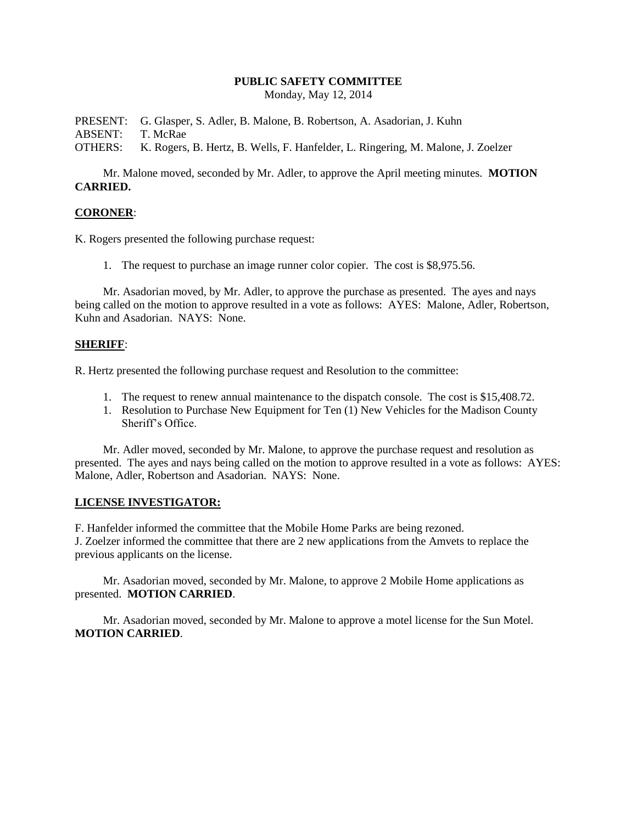## **PUBLIC SAFETY COMMITTEE**

Monday, May 12, 2014

PRESENT: G. Glasper, S. Adler, B. Malone, B. Robertson, A. Asadorian, J. Kuhn ABSENT: T. McRae OTHERS: K. Rogers, B. Hertz, B. Wells, F. Hanfelder, L. Ringering, M. Malone, J. Zoelzer

Mr. Malone moved, seconded by Mr. Adler, to approve the April meeting minutes. **MOTION CARRIED.**

## **CORONER**:

K. Rogers presented the following purchase request:

1. The request to purchase an image runner color copier. The cost is \$8,975.56.

Mr. Asadorian moved, by Mr. Adler, to approve the purchase as presented. The ayes and nays being called on the motion to approve resulted in a vote as follows: AYES: Malone, Adler, Robertson, Kuhn and Asadorian. NAYS: None.

#### **SHERIFF**:

R. Hertz presented the following purchase request and Resolution to the committee:

- 1. The request to renew annual maintenance to the dispatch console. The cost is \$15,408.72.
- 1. Resolution to Purchase New Equipment for Ten (1) New Vehicles for the Madison County Sheriff's Office.

Mr. Adler moved, seconded by Mr. Malone, to approve the purchase request and resolution as presented. The ayes and nays being called on the motion to approve resulted in a vote as follows: AYES: Malone, Adler, Robertson and Asadorian. NAYS: None.

## **LICENSE INVESTIGATOR:**

F. Hanfelder informed the committee that the Mobile Home Parks are being rezoned.

J. Zoelzer informed the committee that there are 2 new applications from the Amvets to replace the previous applicants on the license.

Mr. Asadorian moved, seconded by Mr. Malone, to approve 2 Mobile Home applications as presented. **MOTION CARRIED**.

Mr. Asadorian moved, seconded by Mr. Malone to approve a motel license for the Sun Motel. **MOTION CARRIED**.